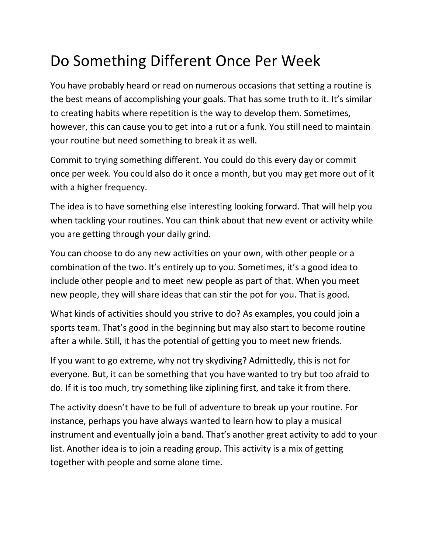## Do Something Different Once Per Week

You have probably heard or read on numerous occasions that setting a routine is the best means of accomplishing your goals. That has some truth to it. It's similar to creating habits where repetition is the way to develop them. Sometimes, however, this can cause you to get into a rut or a funk. You still need to maintain your routine but need something to break it as well.

Commit to trying something different. You could do this every day or commit once per week. You could also do it once a month, but you may get more out of it with a higher frequency.

The idea is to have something else interesting looking forward. That will help you when tackling your routines. You can think about that new event or activity while you are getting through your daily grind.

You can choose to do any new activities on your own, with other people or a combination of the two. It's entirely up to you. Sometimes, it's a good idea to include other people and to meet new people as part of that. When you meet new people, they will share ideas that can stir the pot for you. That is good.

What kinds of activities should you strive to do? As examples, you could join a sports team. That's good in the beginning but may also start to become routine after a while. Still, it has the potential of getting you to meet new friends.

If you want to go extreme, why not try skydiving? Admittedly, this is not for everyone. But, it can be something that you have wanted to try but too afraid to do. If it is too much, try something like ziplining first, and take it from there.

The activity doesn't have to be full of adventure to break up your routine. For instance, perhaps you have always wanted to learn how to play a musical instrument and eventually join a band. That's another great activity to add to your list. Another idea is to join a reading group. This activity is a mix of getting together with people and some alone time.